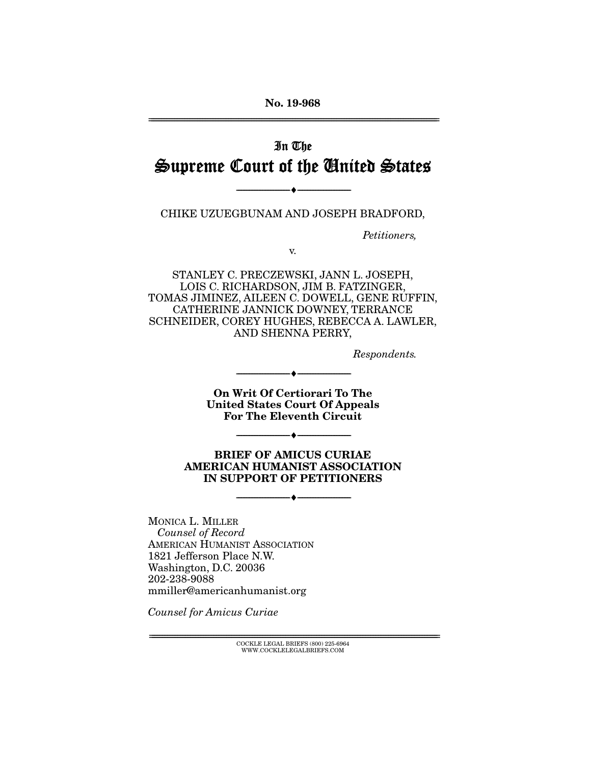**No. 19-968** 

# In The Supreme Court of the United States

chike uzue de la serieste uzuen barren barro,

 $\overbrace{\hspace{27mm}}$   $\overbrace{\hspace{27mm}}$ 

Petitioners,

STANLEY C. PRECZEWSKI, JANN L. JOSEPH, LOIS C. RICHARDSON, JIM B. FATZINGER, TOMAS JIMINEZ, AILEEN C. DOWELL, GENE RUFFIN, CATHERINE JANNICK DOWNEY, TERRANCE SCHNEIDER, COREY HUGHES, REBECCA A. LAWLER, AND SHENNA PERRY, AND SHENNA PERRY,

Respondents.

**On Writ Of Certiorari To The United States Court Of Appeals For The Eleventh Circuit** 

 $\overbrace{\hspace{27mm}}$   $\overbrace{\hspace{27mm}}$ 

**BRIEF OF AMICUS CURIAE AMERICAN HUMANIST ASSOCIATION IN SUPPORT OF PETITIONERS** 

 $\overbrace{\hspace{27mm}}$   $\overbrace{\hspace{27mm}}$ 

 $\overbrace{\hspace{27mm}}$   $\overbrace{\hspace{27mm}}$ 

Counsel of Record AMERICAN HUMANIST ASSOCIATION<br>1821 Jefferson Place N.W. Washington, D.C. 20036 202-238-9088  $m$ miller@amer mmiller@americanhumanist.org

Counsel for Amicus Curiae

 $\text{COCKLE LEGAL BRIEFS}$  (800) 225-6964 WWW.COCKLELEGALBRIEFS.COM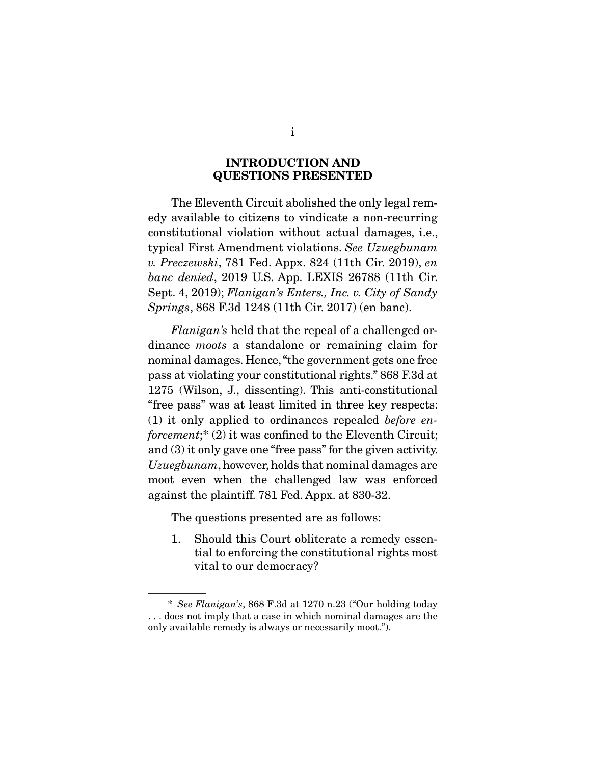### **INTRODUCTION AND QUESTIONS PRESENTED**

The Eleventh Circuit abolished the only legal rem-<br>edy available to citizens to vindicate a non-recurring constitutional violation without actual damages, i.e., typical First Amendment violations. See Uzuegbunam<br>u. Preezewebi.  $781$  Fed. Appy. 824 (11th Cir. 2019), en v. Preczewski, 781 Fed. Appx. 824 (11th Cir. 2019), en banc denied, 2019 U.S. App. LEXIS 26788 (11th Cir. Sept. 4, 2019); Flanigan's Enters., Inc. v. City of Sandy Springs, 868 F.3d 1248 (11th Cir. 2017) (en banc).

Flanigan's held that the repeal of a challenged ordinance *moots* a standalone or remaining claim for nominal damages. Hence, "the government gets one free pass at violating your constitutional rights." 868 F.3d at  $1275$  (Wilson, J., dissenting). This anti-constitutional "free pass" was at least limited in three key respects: (1) it only applied to ordinances repealed *before* en-<br>foreement:  $\hat{z}$  (2) it was confined to the Fleventh Circuit. forcement;\*  $(2)$  it was confined to the Eleventh Circuit;<br>and  $(3)$  it only gave one "free pass" for the given activity.  $Uzuegbunam$ , however, holds that nominal damages are  $r_{\text{post}}$  $\frac{1}{2}$  moot even when the channels of  $\frac{1}{2}$  and  $\frac{1}{2}$  $\mathbf{r}_{\mathbf{p}}$  and  $\mathbf{r}_{\mathbf{p}}$  for  $\mathbf{r}_{\mathbf{p}}$ . Appx. at 830-32.

The questions presented are as follows:

1. Should this Court obliterate a remedy essential to enforcing the constitutional rights most tim to enforcing the constitutional rights most  $\sum_{i=1}^{n}$ 

 <sup>\*</sup> See Flanigan's, 868 F.3d at 1270 n.23 ("Our holding today only available remedy is always or necessarily moot."). only available remedy is always or necessarily moot.").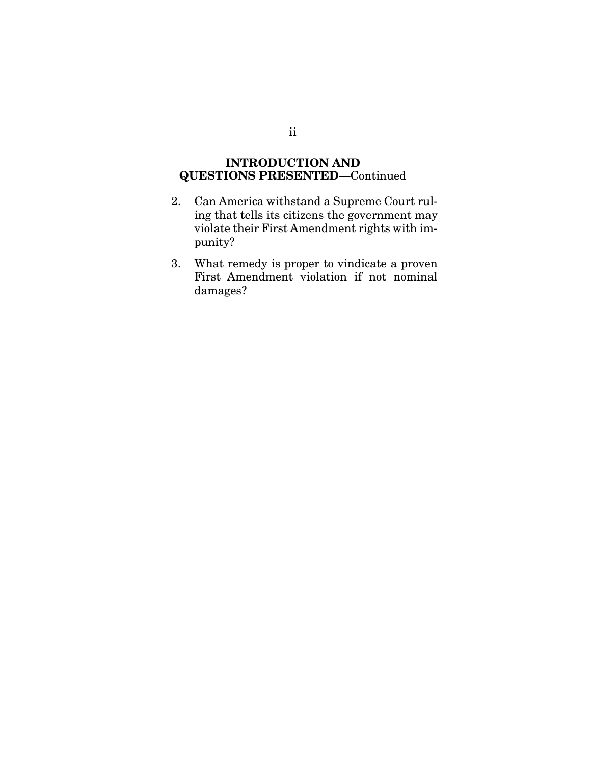## **INTRODUCTION AND QUESTIONS PRESENTED**—Continued

- 2. Can America withstand a Supreme Court ruling that tells its citizens the government may violate their First Amendment rights with imviolate their First American rights with im-<br>nunity? punity?
- 3. What remedy is proper to vindicate a proven  $F_{\rm{maxmax}}$ damages?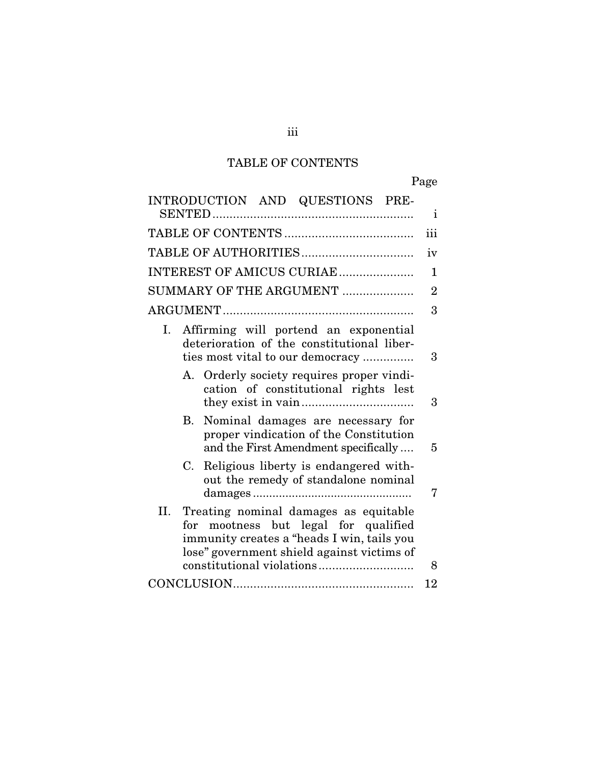# TABLE OF CONTENTS

| INTRODUCTION AND QUESTIONS PRE-                                                                                                                                                  | $\mathbf{i}$   |
|----------------------------------------------------------------------------------------------------------------------------------------------------------------------------------|----------------|
|                                                                                                                                                                                  | iii            |
|                                                                                                                                                                                  | iv             |
| INTEREST OF AMICUS CURIAE                                                                                                                                                        | 1              |
| SUMMARY OF THE ARGUMENT                                                                                                                                                          | $\overline{2}$ |
|                                                                                                                                                                                  | 3              |
| Affirming will portend an exponential<br>Ι.<br>deterioration of the constitutional liber-<br>ties most vital to our democracy                                                    | 3              |
| A. Orderly society requires proper vindi-<br>cation of constitutional rights lest                                                                                                | 3              |
| B. Nominal damages are necessary for<br>proper vindication of the Constitution<br>and the First Amendment specifically                                                           | 5              |
| Religious liberty is endangered with-<br>C.<br>out the remedy of standalone nominal                                                                                              | 7              |
| II.<br>Treating nominal damages as equitable<br>for mootness but legal for qualified<br>immunity creates a "heads I win, tails you<br>lose" government shield against victims of | 8              |
|                                                                                                                                                                                  | 12             |
|                                                                                                                                                                                  |                |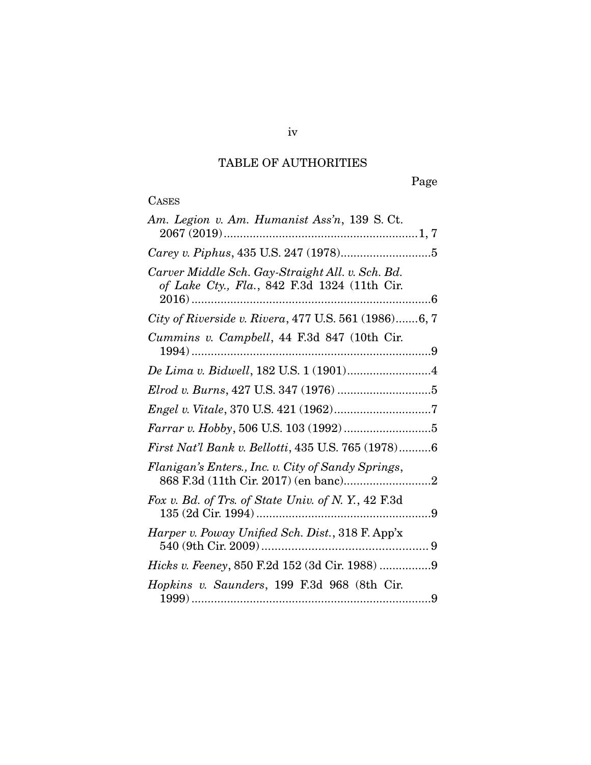## TABLE OF AUTHORITIES

Page

# **CASES**

| Am. Legion v. Am. Humanist Ass'n, 139 S. Ct.                                                     |
|--------------------------------------------------------------------------------------------------|
|                                                                                                  |
| Carver Middle Sch. Gay-Straight All. v. Sch. Bd.<br>of Lake Cty., Fla., 842 F.3d 1324 (11th Cir. |
| City of Riverside v. Rivera, 477 U.S. 561 (1986)6, 7                                             |
| Cummins v. Campbell, 44 F.3d 847 (10th Cir.                                                      |
|                                                                                                  |
|                                                                                                  |
|                                                                                                  |
|                                                                                                  |
| First Nat'l Bank v. Bellotti, 435 U.S. 765 (1978)6                                               |
| Flanigan's Enters., Inc. v. City of Sandy Springs,                                               |
| Fox v. Bd. of Trs. of State Univ. of N.Y., 42 F.3d                                               |
| Harper v. Poway Unified Sch. Dist., 318 F. App'x                                                 |
| Hicks v. Feeney, 850 F.2d 152 (3d Cir. 1988) 9                                                   |
| Hopkins v. Saunders, 199 F.3d 968 (8th Cir.                                                      |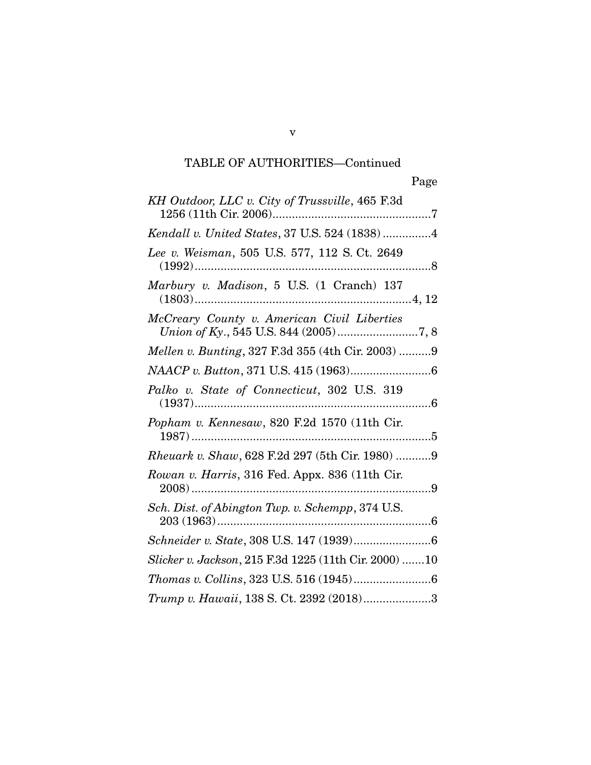# TABLE OF AUTHORITIES—Continued

v

| KH Outdoor, LLC v. City of Trussville, 465 F.3d           |
|-----------------------------------------------------------|
| Kendall v. United States, 37 U.S. 524 (1838)4             |
| Lee v. Weisman, 505 U.S. 577, 112 S. Ct. 2649             |
| Marbury v. Madison, 5 U.S. (1 Cranch) 137                 |
| McCreary County v. American Civil Liberties               |
| Mellen v. Bunting, 327 F.3d 355 (4th Cir. 2003) 9         |
|                                                           |
| Palko v. State of Connecticut, 302 U.S. 319               |
| Popham v. Kennesaw, 820 F.2d 1570 (11th Cir.              |
| Rheuark v. Shaw, 628 F.2d 297 (5th Cir. 1980) 9           |
| Rowan v. Harris, 316 Fed. Appx. 836 (11th Cir.<br>$2008)$ |
| Sch. Dist. of Abington Twp. v. Schempp, 374 U.S.          |
|                                                           |
| Slicker v. Jackson, 215 F.3d 1225 (11th Cir. 2000) 10     |
|                                                           |
| Trump v. Hawaii, 138 S. Ct. 2392 (2018)3                  |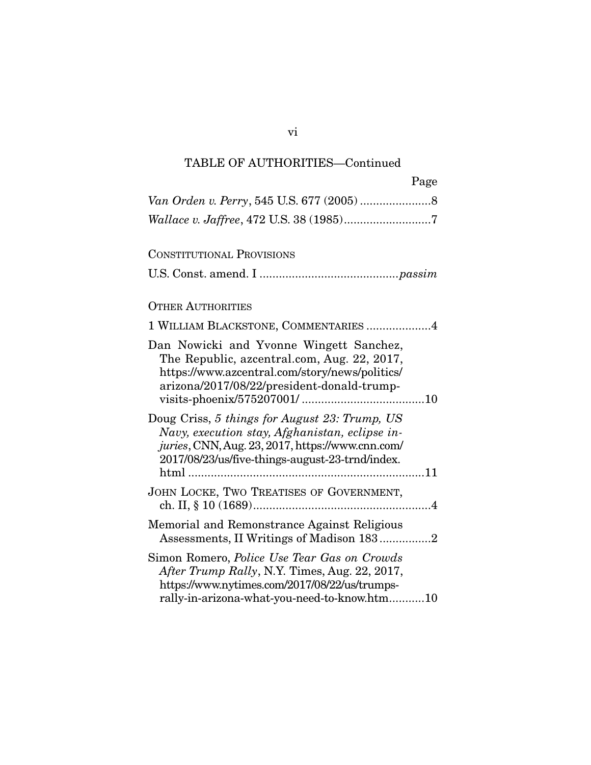## TABLE OF AUTHORITIES—Continued

| Page                                                                                                                                                                                                   |
|--------------------------------------------------------------------------------------------------------------------------------------------------------------------------------------------------------|
|                                                                                                                                                                                                        |
|                                                                                                                                                                                                        |
| <b>CONSTITUTIONAL PROVISIONS</b>                                                                                                                                                                       |
|                                                                                                                                                                                                        |
| <b>OTHER AUTHORITIES</b>                                                                                                                                                                               |
| 1 WILLIAM BLACKSTONE, COMMENTARIES 4                                                                                                                                                                   |
| Dan Nowicki and Yvonne Wingett Sanchez,<br>The Republic, azcentral.com, Aug. 22, 2017,<br>https://www.azcentral.com/story/news/politics/<br>arizona/2017/08/22/president-donald-trump-                 |
| Doug Criss, 5 things for August 23: Trump, US<br>Navy, execution stay, Afghanistan, eclipse in-<br>juries, CNN, Aug. 23, 2017, https://www.cnn.com/<br>2017/08/23/us/five-things-august-23-trnd/index. |
| JOHN LOCKE, TWO TREATISES OF GOVERNMENT,                                                                                                                                                               |
| Memorial and Remonstrance Against Religious<br>Assessments, II Writings of Madison 1832                                                                                                                |
| Simon Romero, Police Use Tear Gas on Crowds<br>After Trump Rally, N.Y. Times, Aug. 22, 2017,<br>https://www.nytimes.com/2017/08/22/us/trumps-<br>rally-in-arizona-what-you-need-to-know.htm<br>10      |

rally-in-arizona-what-you-need-to-know.htm ........... 10

vi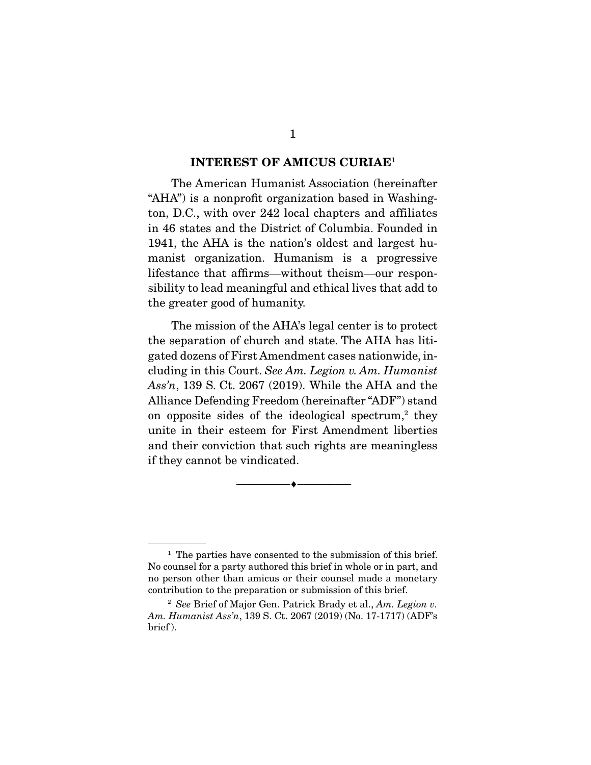#### **INTEREST OF AMICUS CURIAE**1

The American Humanist Association (hereinafter "AHA") is a nonprofit organization based in Washington, D.C., with over 242 local chapters and affiliates in 46 states and the District of Columbia. Founded in 1941, the AHA is the nation's oldest and largest humanist organization. Humanism is a progressive lifestance that affirms—without theism—our responsibility to lead meaningful and ethical lives that add to the greater good of humanity.  $\mathbf{f}$  the greater is the greater  $\mathbf{f}$ 

The mission of the AHA's legal center is to protect<br>the separation of church and state. The AHA has litigated dozens of First Amendment cases nationwide, ingated document and Figure and Court. See Am. Legion v. Am. Humanist  $Aee'n$  139 S. Ct. 2067 (2019). While the AHA and the Ass'n, 139 S. Ct. 2067 (2019). While the AHA and the Alliance Defending Freedom (hereinafter "ADF") stand on opposite sides of the ideological spectrum,<sup>2</sup> they on opposite sides of the ideological spectrum, they<br>unite in their esteem for First Amondment liberties and their conviction that such rights are meaningless and their conviction that such rights are meaningless.  $\epsilon$  they cannot be vindicated.

 $\overbrace{\hspace{2.5cm}}$   $\overbrace{\hspace{2.5cm}}$ 

<sup>&</sup>lt;sup>1</sup> The parties have consented to the submission of this brief.<br>No counsel for a party authored this brief in whole or in part, and no person other than amicus or their counsel made a monetary contribution to the preparation or submission of this brief.

<sup>&</sup>lt;sup>2</sup> See Brief of Major Gen. Patrick Brady et al., Am. Legion v.<br>
<sup>2</sup> See Brief of Major Gen. Patrick Brady et al., Am. Legion v.<br>
<sup>2</sup> Mumanist Ass'n 139 S. Ct. 2067 (2019) (No. 17-1717) (ADF's Am. Humanist Ass'n, 139 S. Ct. 2067 (2019) (No. 17-1717) (ADF's brief).  $\overline{ }$  ).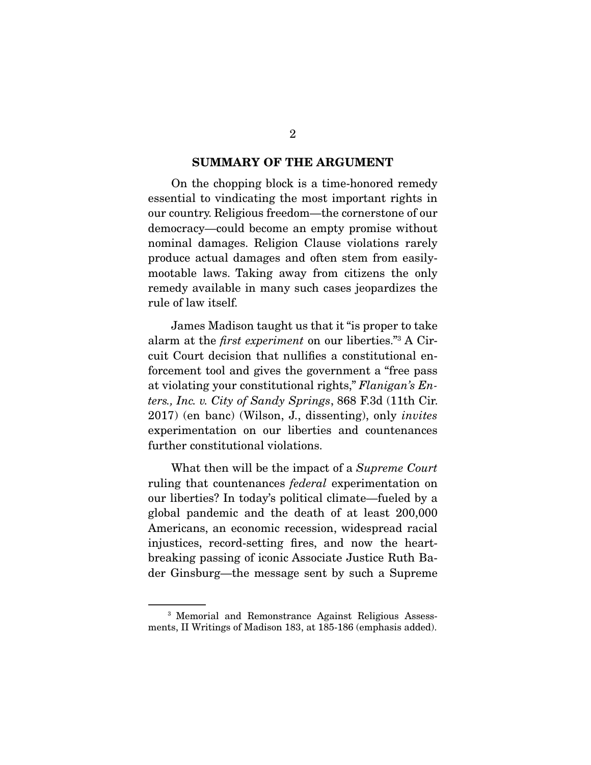#### **SUMMARY OF THE ARGUMENT**

On the chopping block is a time-honored remedy<br>essential to vindicating the most important rights in our country. Religious freedom—the cornerstone of our democracy—could become an empty promise without nominal damages. Religion Clause violations rarely produce actual damages and often stem from easilymootable laws. Taking away from citizens the only remedy available in many such cases jeopardizes the rule of law itself. rule of law itself.

alarm at the *first experiment* on our liberties."<sup>3</sup> A Circuit Court doction that pullifies a constitutional on cuit Court decision that nullifies a constitutional enforcement tool and gives the government a "free pass" at violating your constitutional rights," Flanigan's Enters., Inc. v. City of Sandy Springs, 868 F.3d (11th Cir. 2017) (en banc) (Wilson, J., dissenting), only *invites* experimentation on our liberties and countenances further constitutional violations. further constitutional violations.

What then will be the impact of a Supreme Court ruling that countenances *federal* experimentation on<br>our liberties? In today's political climate—fueled by a global pandemic and the death of at least  $200,000$ Americans, an economic recession, widespread racial injustices, record-setting fires, and now the heartbreaking passing of iconic Associate Justice Ruth Bader Ginsburg—the message sent by such a Supreme  $\sum_{i=1}^{n}$ 

<sup>&</sup>lt;sup>3</sup> Memorial and Remonstrance Against Religious Assessments, II Writings of Madison 183, at 185-186 (emphasis added). ments, II Writings of Madison 183, at 185-186 (emphasis added).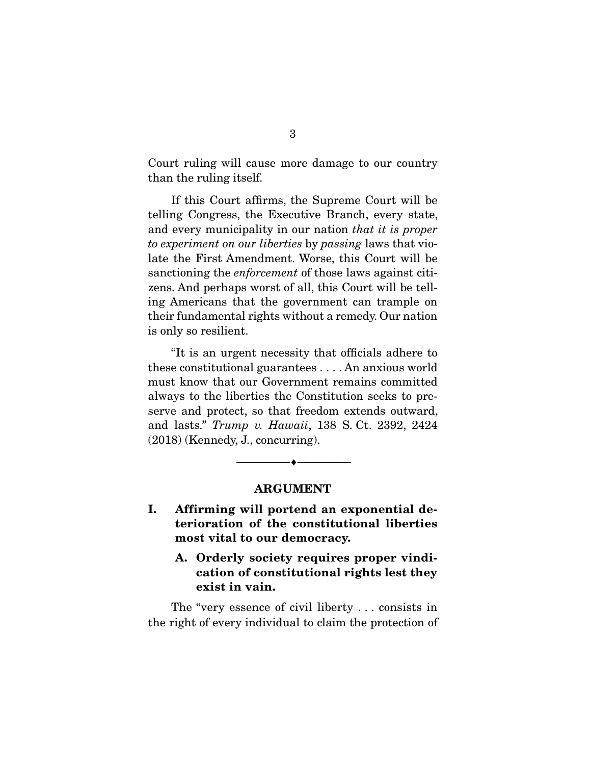Court ruling will cause more damage to our country than the ruling itself. than the ruling itself.

If this Court affirms, the Supreme Court will be telling Congress, the Executive Branch, every state, and every municipality in our nation that it is proper<br>to experiment on our liberties by passing laws that yieto experiment on our liberties by passing laws that violate the First Amendment. Worse, this Court will be sanctioning the *enforcement* of those laws against citi-<br>zens. And perhaps worst of all this Court will be tell. zens. And perhaps worst of all, this Court will be tell-<br>ing Americans that the government can trample on their fundamental rights without a remedy. Our nation is only so resilient. is only so resilient.

"It is an urgent necessity that officials adhere to these constitutional guarantees  $\dots$ . An anxious world must know that our Government remains committed always to the liberties the Constitution seeks to preserve and protect, so that freedom extends outward, and lasts."  $Trump$  v. Hawaii, 138 S. Ct. 2392, 2424 (2018) (Kennedy, J., concurring).

### **ARGUMENT**

 $\overbrace{\hspace{2.5cm}}$   $\overbrace{\hspace{2.5cm}}$ 

- **I. Affirming will portend an exponential deterioration of the constitutional liberties most vital to our democracy.** 
	- **A. Orderly society requires proper vindication of constitutional rights lest they exist in vain.**

The "very essence of civil liberty ... consists in the right of every individual to claim the protection of  $\mathbf{r}$  right of every individual to claim the protection of protection of protection of protection of protection of  $\mathbf{r}$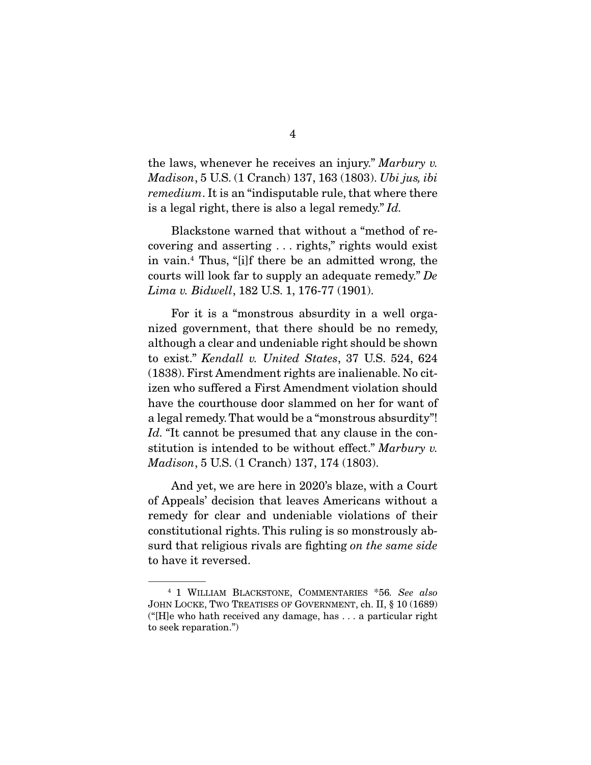the laws, whenever he receives an injury." Marbury v. Madison, 5 U.S. (1 Cranch) 137, 163 (1803). Ubi jus, ibi remedium. It is an "indisputable rule, that where there is a legal right, there is also a legal remedy." Id.

Blackstone warned that without a "method of re-<br>covering and asserting ... rights," rights would exist in vain.<sup>4</sup> Thus, "[i]f there be an admitted wrong, the In vain.<sup>4</sup> Thus, "[i]f there be an admitted wrong, the courts will look far to supply an adequate remedy." De  $I_{\text{rms}}$  is  $R_{\text{Jdual}}$  189 U.S. 1-176-77 (1901) Lima v. Bidwell, 182 U.S. 1, 176-77 (1901).

For it is a "monstrous absurdity in a well organized government, that there should be no remedy, although a clear and undeniable right should be shown to exist." Kendall v. United States, 37 U.S. 524, 624 (1838). First Amendment rights are inalienable. No cithave the courthouse door slammed on her for want of a legal remedy. That would be a "monstrous absurdity"! Id. "It cannot be presumed that any clause in the con-<br>stitution is intended to be without effect." Marbury. stitution is intended to be without effect." Marbury v. Madison, 5 U.S. (1 Cranch) 137, 174 (1803).

And yet, we are here in 2020's blaze, with a Court of Appeals' decision that leaves Americans without a remedy for clear and undeniable violations of their constitutional rights. This ruling is so monstrously abconstitutional rights. This ruling is so monstrowed surd that religious rivals are fighting on the same side<br>to have it reversed to have it reversed.

<sup>&</sup>lt;sup>4</sup> 1 WILLIAM BLACKSTONE, COMMENTARIES  $*56$ . See also<br>JOHN LOCKE, TWO TREATISES OF GOVERNMENT, ch. II, § 10 (1689)  $H[H]$ e who hath received any damage, has ... a particular right  $(\text{Feyl})$  who has received any damage, has  $\dots$  a particular right. to seek reparation.")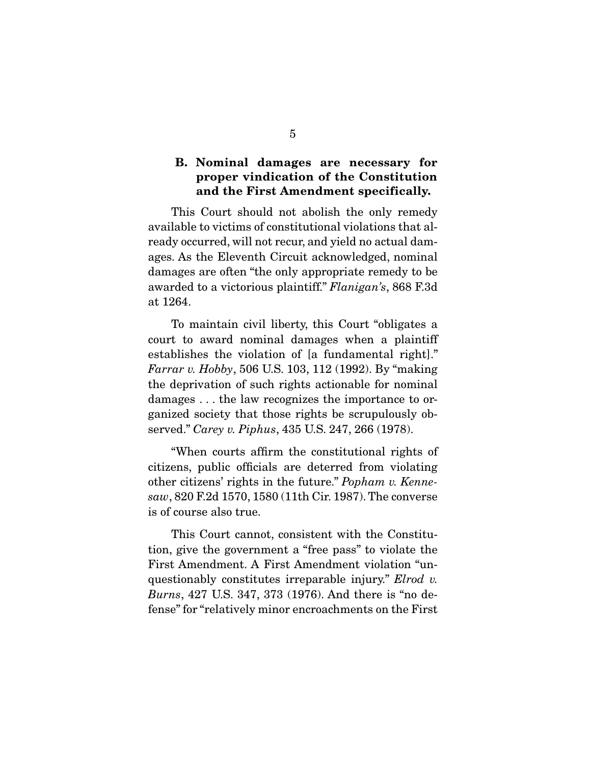## **B. Nominal damages are necessary for proper vindication of the Constitution and the First Amendment specifically.**

This Court should not abolish the only remedy available to victims of constitutional violations that already occurred, will not recur, and yield no actual damages. As the Eleventh Circuit acknowledged, nominal damages are often "the only appropriate remedy to be awarded to a victorious plaintiff." Flanigan's, 868 F.3d at 1264.

To maintain civil liberty, this Court "obligates a court to award nominal damages when a plaintiff establishes the violation of [a fundamental right]." Farrar v. Hobby, 506 U.S. 103, 112 (1992). By "making" the deprivation of such rights actionable for nominal damages ... the law recognizes the importance to organized society that those rights be scrupulously ob $g$ anized society that these rights be seed<sub>r</sub> include the served." Carey v. Piphus,  $435$  U.S.  $247$ ,  $266$  (1978).

 "When courts affirm the constitutional rights of other citizens' rights in the future." *Popham v. Kenne-*<br> $cav_1$  820 F.2d 1570, 1580 (11th Cir. 1987). The converse  $saw$ , 820 F.2d 1570, 1580 (11th Cir. 1987). The converse is of course also true. is of course also true.

This Court cannot, consistent with the Constitution, give the government a "free pass" to violate the First Amendment. A First Amendment violation "unquestionably constitutes irreparable injury." Elrod v.<br>Burne 427 U.S. 347, 373 (1976) And there is "no do. Burns, 427 U.S. 347, 373 (1976). And there is "no defense" for "relatively minor encroachments on the First fense" for "relatively minor encroachments on the First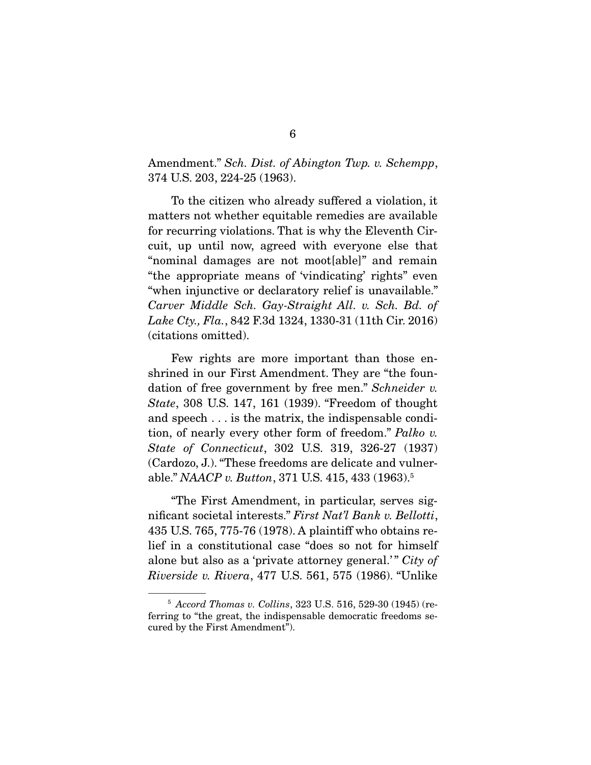Amendment." Sch. Dist. of Abington Twp. v. Schempp, 374 U.S. 203, 224-25 (1963).

 To the citizen who already suffered a violation, it for recurring violations. That is why the Eleventh Circuit, up until now, agreed with everyone else that "nominal damages are not moot[able]" and remain "the appropriate means of 'vindicating' rights" even "when injunctive or declaratory relief is unavailable." Carver Middle Sch. Gay-Straight All. v. Sch. Bd. of Lake Cty., Fla., 842 F.3d 1324, 1330-31 (11th Cir. 2016)<br>(citations omitted).  $\sum_{i=1}^{n}$ 

Few rights are more important than those enshrined in our First Amendment. They are "the foundation of free government by free men." Schneider v.<br>State 308 US 147 161 (1939) "Excodem of the what State, 308 U.S. 147, 161 (1939). "Freedom of thought and speech . . . is the matrix, the indispensable condition, of nearly every other form of freedom." Palko v.<br>State of Connecticut, 202 US, 210 226 27 (1027) State of Connecticut, 302 U.S. 319, 326-27 (1937)<br>(Cardozo, J.). "These freedoms are delicate and vulnerable." NAACP v. Button, 371 U.S. 415, 433 (1963).<sup>5</sup>

nificant societal interests." First Nat'l Bank v. Bellotti,<br>425 U.S. 765 775 76 (1978) A plaintiff who obtains re-435 U.S. 765, 775-76 (1978). A plaintiff who obtains realone but also as a 'private attorney general.'" City of  $P_{\text{invariant}}$  and  $P_{\text{invariant}}$  and  $P_{\text{invariant}}$  and  $P_{\text{invariant}}$  and  $P_{\text{invariant}}$ Riverside v. Rivera, 477 U.S. 561, 575 (1986). "Unlike

 $5$  Accord Thomas v. Collins, 323 U.S. 516, 529-30 (1945) (referring to "the great, the indispensable democratic freedoms secured by the First Amendment").  $\cdots$  the  $\cdots$  of  $\cdots$   $\cdots$   $\cdots$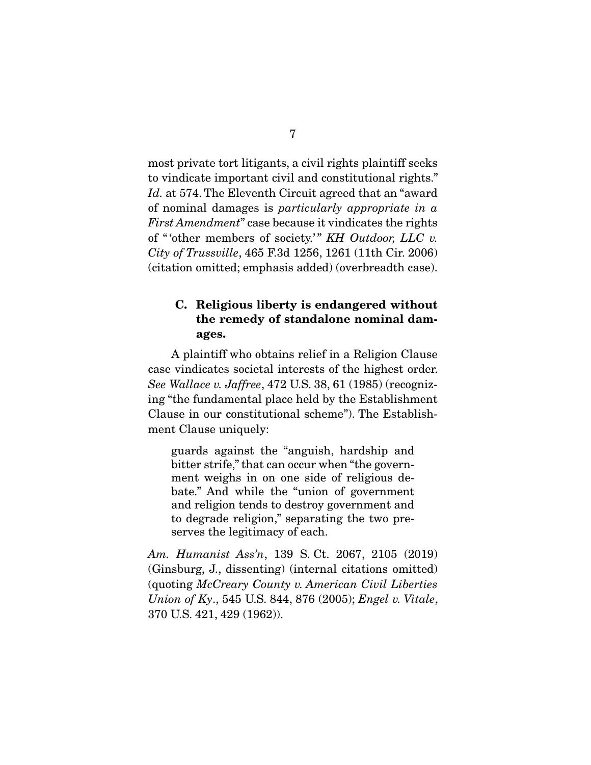most private tort litigants, a civil rights plaintiff seeks<br>to vindicate important civil and constitutional rights."  $Id.$  at 574. The Eleventh Circuit agreed that an "award" of nominal damages is particularly appropriate in a First Amendment" case because it vindicates the rights of "other members of society.'" KH Outdoor, LLC v. City of Trussville, 465 F.3d 1256, 1261 (11th Cir. 2006)<br>(citation omitted; emphasis added) (overbreadth case).  $\mathbf{r}$  of the citation of  $\mathbf{r}$  and case  $\mathbf{r}$  added) (over breadth).

## **C. Religious liberty is endangered without the remedy of standalone nominal damages.**

A plaintiff who obtains relief in a Religion Clause case vindicates societal interests of the highest order. case vindicates societal interests of the inglest order.<br>See Wallace v. Jaffree, 472 U.S. 38, 61 (1985) (recogniz-<br>ing "the fundamental place hold by the Establishment ing "the fundamental place held by the Establishment<br>Clause in our constitutional scheme"). The Establish-Clause in our constitutional scheme"). The Establish- $\mathbf{r}$ 

guards against the "anguish, hardship and ment weighs in on one side of religious debate." And while the "union of government" and religion tends to destroy government and to degrade religion," separating the two preserves the legitimacy of each. serves the legitimacy of each.

Am. Humanist Ass'n, 139 S. Ct. 2067, 2105 (2019)<br>(Ginsburg, J., dissenting) (internal citations omitted)  $\frac{1}{\text{Equation of } Kv}$  545 US 844 876 (2005):  $\frac{1}{\text{Area}}v$  Vitated Union of Ky., 545 U.S. 844, 876 (2005); Engel v. Vitale, 370 U.S. 421, 429 (1962)).  $3700 - 229$ ,  $3200 - 229$ ,  $3200 - 229$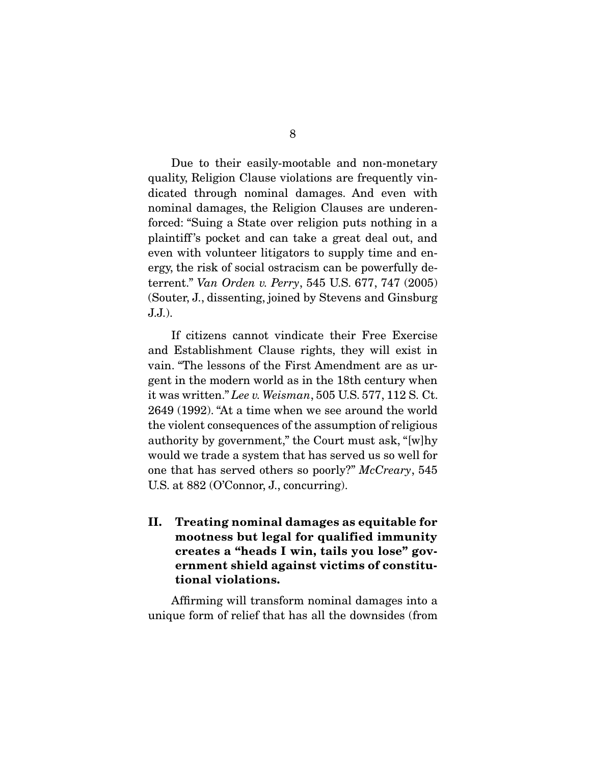Due to their easily-mootable and non-monetary<br>quality, Religion Clause violations are frequently vindicated through nominal damages. And even with nominal damages, the Religion Clauses are underenforced: "Suing a State over religion puts nothing in a plaintiff's pocket and can take a great deal out, and even with volunteer litigators to supply time and energy, the risk of social ostracism can be powerfully deterrent." Van Orden v. Perry, 545 U.S. 677, 747 (2005) (South),  $\frac{1}{2}$ ,  $\frac{1}{2}$ ,  $\frac{1}{2}$ ,  $\frac{1}{2}$ ,  $\frac{1}{2}$ ,  $\frac{1}{2}$ ,  $\frac{1}{2}$ ,  $\frac{1}{2}$ ,  $\frac{1}{2}$ ,  $\frac{1}{2}$ ,  $\frac{1}{2}$ ,  $\frac{1}{2}$ ,  $\frac{1}{2}$ ,  $\frac{1}{2}$ ,  $\frac{1}{2}$ ,  $\frac{1}{2}$ ,  $\frac{1}{2}$ ,  $\frac{1}{2}$ ,  $\frac{1}{2}$ ,  $\frac$ J.J.).

 If citizens cannot vindicate their Free Exercise vain. "The lessons of the First Amendment are as urgent in the modern world as in the 18th century when it was written." Lee v. Weisman, 505 U.S. 577, 112 S. Ct.<br>2640 (1992) "At a time when we see around the world. 2649 (1992). "At a time when we see around the world authority by government," the Court must ask, "[w]hy would we trade a system that has served us so well for one that has served others so poorly?"  $McCreary$ , 545<br>U.S. of 882 (O'Connor L. concurring) U.S. at 882 (O'Connor, J., concurring).

**II. Treating nominal damages as equitable for mootness but legal for qualified immunity creates a "heads I win, tails you lose" government shield against victims of constitutional violations.** 

 $\frac{a}{b}$  and  $\frac{a}{c}$  into a  $\frac{a}{c}$  into a  $\frac{a}{d}$  the designation  $\frac{a}{d}$  from unique form of relief that has all the downsides (from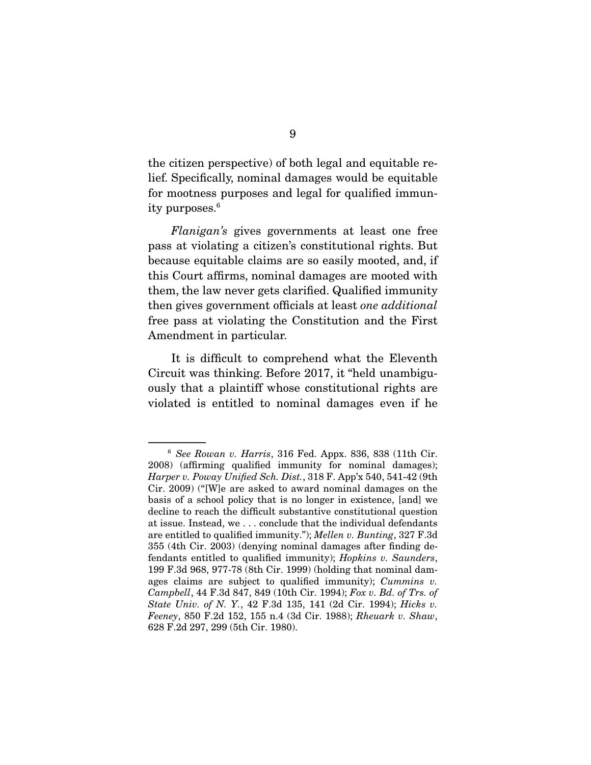the citizen perspective) of both legal and equitable refor mootness purposes and legal for qualified immunfor moothed purposes and legal for qualified  $\frac{1}{2}$  minimumity purposes.

Flanigan's gives governments at least one free pass at violating a citizen's constitutional rights. But because equitable claims are so easily mooted, and, if this Court affirms, nominal damages are mooted with them, the law never gets clarified. Qualified immunity then gives government officials at least one additional free pass at violating the Constitution and the First Amendment in particular.

It is difficult to comprehend what the Eleventh<br>Circuit was thinking. Before 2017, it "held unambiguously that a plaintiff whose constitutional rights are  $\frac{1}{2}$  and  $\frac{1}{2}$  in  $\frac{1}{2}$  in  $\frac{1}{2}$  in  $\frac{1}{2}$  in  $\frac{1}{2}$  in  $\frac{1}{2}$  in  $\frac{1}{2}$  in  $\frac{1}{2}$  in  $\frac{1}{2}$  in  $\frac{1}{2}$  in  $\frac{1}{2}$  in  $\frac{1}{2}$  in  $\frac{1}{2}$  in  $\frac{1}{2}$  in  $\frac{1}{2}$  in  $\frac{1}{2}$  in violated is entitled to nominal damages even if he

<sup>&</sup>lt;sup>6</sup> See Rowan v. Harris, 316 Fed. Appx. 836, 838 (11th Cir. 2008) (affirming qualified immunity for nominal damages);  $H$ arper v. Poway Unified Sch. Dist., 318 F. App'x 540, 541-42 (9th<br>Cir. 2009) ("We are asked to award pominal damages on the Cir. 2009) ("[W]e are asked to award nominal damages on the decline to reach the difficult substantive constitutional question at issue. Instead, we  $\dots$  conclude that the individual defendants are entitled to qualified immunity."); Mellen v. Bunting, 327 F.3d<br>355 (4th Cir. 2003) (denying nominal damages after finding defendants entitled to qualified immunity); *Hopkins v. Saunders*,<br>199 F 3d 968 977-78 (8th Cir. 1999) (holding that nominal damages claims are subject to qualified immunity); *Cummins v.*<br>Campbell 44 F 3d 847, 849 (10th Cir. 1994); *Fox v. Bd. of Trs. of* Campbell, 44 F.3d 847, 849 (10th Cir. 1994); Fox v. Bd. of Trs. of State Univ. of N. Y., 42 F.3d 135, 141 (2d Cir. 1994); Hicks v. Feeney, 850 F.2d 152, 155 n.4 (3d Cir. 1988); Rheuark v. Shaw, 628 F.2d 297, 299 (5th Cir. 1980). 628 F.2d 297, 299 (5th Cir. 1980).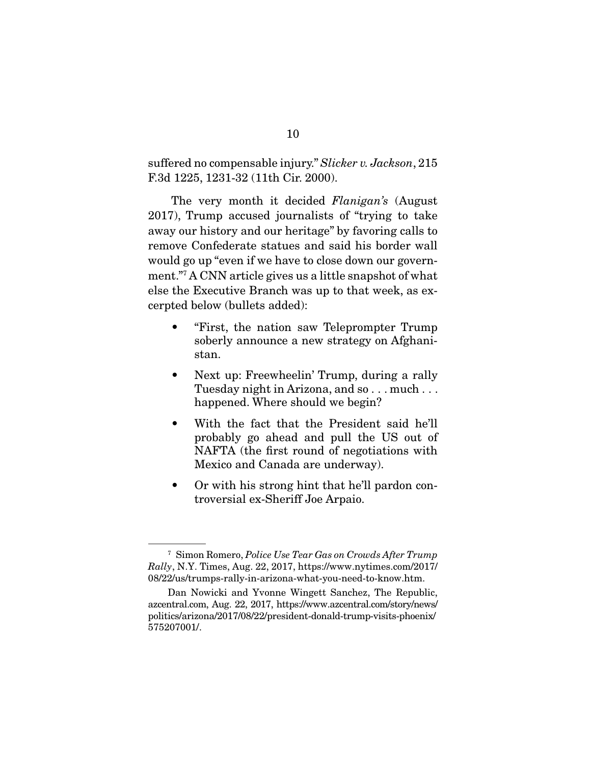suffered no compensable injury." Slicker v. Jackson, 215<br>F.3d 1225, 1231-32 (11th Cir. 2000).  $\frac{3}{2}$ 

The very month it decided *Flanigan's* (August 2017), Trump accused journalists of "trying to take away our history and our heritage" by favoring calls to remove Confederate statues and said his border wall would go up "even if we have to close down our government." A CNN article gives us a little snapshot of what ment. The CNN article gives us a little snapshot of what<br>also the Executive Branch was up to that week as exelectrical below (bullets added): cerpted below (bullets added):

- $\bullet$ • "First, the nation saw Teleprompter Trump  $s$ stan $s$
- $\bullet$ Next up: Freewheelin' Trump, during a rally<br>Tuesday night in Arizona, and so...much... Tuesday night in Arizona, and so . . . much . . . happened. Where should we begin?
- With the fact that the President said he'll probably go ahead and pull the US out of  $\bullet$ NAFTA (the first round of negotiations with  $M$ exico and  $C$ anada are underway)  $M_{\rm H}$  and  $M_{\rm H}$  can are underway.
- $\bullet$  $\frac{1}{2}$   $\frac{1}{2}$   $\frac{1}{2}$   $\frac{1}{2}$   $\frac{1}{2}$   $\frac{1}{2}$   $\frac{1}{2}$   $\frac{1}{2}$   $\frac{1}{2}$   $\frac{1}{2}$   $\frac{1}{2}$   $\frac{1}{2}$   $\frac{1}{2}$   $\frac{1}{2}$   $\frac{1}{2}$   $\frac{1}{2}$   $\frac{1}{2}$   $\frac{1}{2}$   $\frac{1}{2}$   $\frac{1}{2}$   $\frac{1}{2}$   $\frac{1}{2}$  troversial ex-Sheriff Joe Arpaio.

<sup>7</sup> Simon Romero, Police Use Tear Gas on Crowds After Trump Rally, N.Y. Times, Aug. 22, 2017, https://www.nytimes.com/2017/<br>08/22/us/trumps-rally-in-arizona-what-you-need-to-know.htm.

Dan Nowicki and Yvonne Wingett Sanchez, The Republic, azcentral.com, Aug. 22, 2017, https://www.azcentral.com/story/news/ azcentral.com, 22, 2017, 2027, https://www.azcentral.com/story/news/<br>politics/arizona/2017/08/22/prosident-donald-trump-visits-phoeniv/ politics/arizona/2017/08/22/president-donald-trump-visits-phoenix/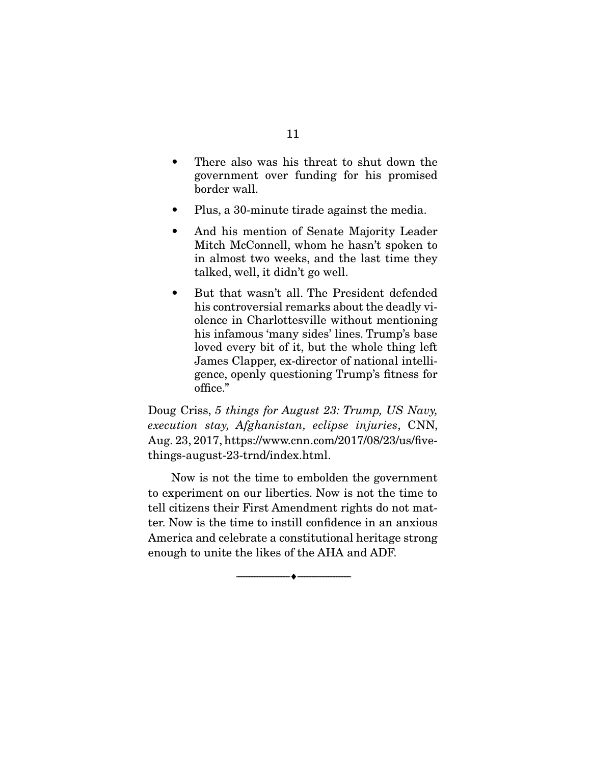- $\bullet$ There also was his threat to shut down the government over funding for his promised border wall. border wall.
- $\bullet$
- Plus, a 30-minute tirade against the media.<br>And his mention of Senate Majority Leader  $\bullet$ Mitch McConnell, whom he hasn't spoken to in almost two weeks, and the last time they talked, well, it didn't go well.  $t^2$  talked in the didness of  $\mathcal{G}$  is defined in the distribution of  $\mathcal{G}$
- $\bullet$ his controversial remarks about the deadly violence in Charlottesville without mentioning his infamous 'many sides' lines. Trump's base loved every bit of it, but the whole thing left James Clapper, ex-director of national intelli- $\frac{1}{2}$  and  $\frac{1}{2}$  and  $\frac{1}{2}$  and  $\frac{1}{2}$  and  $\frac{1}{2}$  and  $\frac{1}{2}$  and  $\frac{1}{2}$  and  $\frac{1}{2}$  and  $\frac{1}{2}$  and  $\frac{1}{2}$  and  $\frac{1}{2}$  and  $\frac{1}{2}$  and  $\frac{1}{2}$  and  $\frac{1}{2}$  and  $\frac{1}{2}$  and  $\frac{1}{2}$  a gence, openly questioning to map  $s$  fitness for office."

Doug Criss, 5 things for August 23: Trump, US Navy, execution stay, Afghanistan, eclipse injuries, CNN,<br>Aug. 23, 2017, https://www.cnn.com/2017/08/23/us/five $things-august-23-trnd/index.html.$ things-august-23-trnd/index.html.

Now is not the time to embolden the government<br>to experiment on our liberties. Now is not the time to tell citizens their First Amendment rights do not matter. Now is the time to instill confidence in an anxious America and celebrate a constitutional heritage strong enough to unite the likes of the AHA and ADF. enough to unite the likes of the AHA and ADF.

 $\overbrace{\hspace{2.5cm}}$   $\overbrace{\hspace{2.5cm}}$